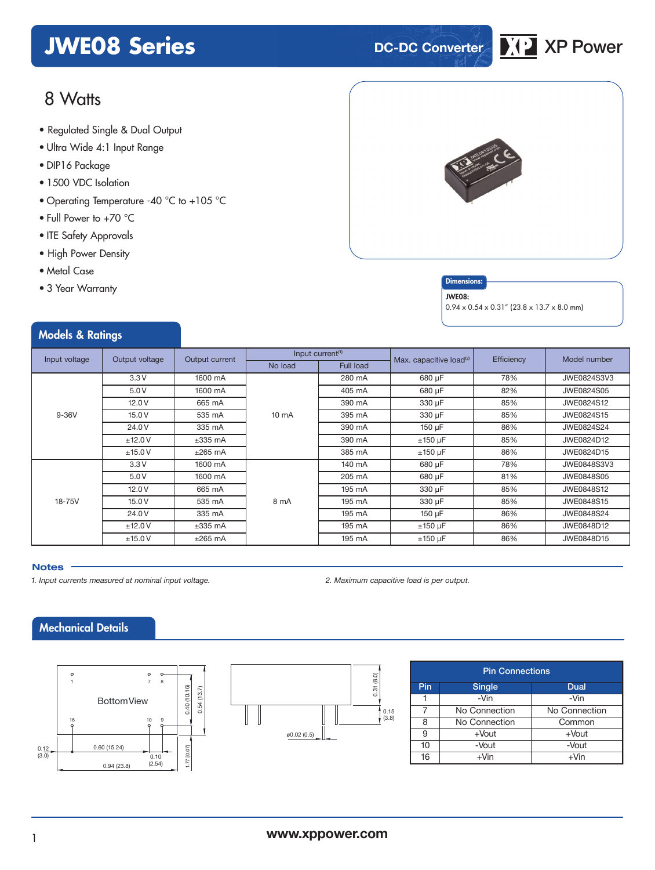# **JWE08 Series DC-DC Converter XP** XP Power



# 8 Watts

- **xxx Series** Regulated Single & Dual Output
- Ultra Wide 4:1 Input Range
- DIP16 Package
- 1500 VDC Isolation
- Operating Temperature -40 °C to +105 °C
- Full Power to +70 °C
- ITE Safety Approvals
- High Power Density
- Metal Case
- 3 Year Warranty

Models & Ratings



#### **Dimensions**

#### JWE08:

 $0.94 \times 0.54 \times 0.31''$  (23.8 x 13.7 x 8.0 mm)

|               |                |                |                 | Input current <sup>(1)</sup> |                                     |            |                    |
|---------------|----------------|----------------|-----------------|------------------------------|-------------------------------------|------------|--------------------|
| Input voltage | Output voltage | Output current | No load         | <b>Full load</b>             | Max. capacitive load <sup>(2)</sup> | Efficiency | Model number       |
|               | 3.3V           | 1600 mA        |                 | 280 mA                       | 680 µF                              | 78%        | JWE0824S3V3        |
|               | 5.0 V          | 1600 mA        | $10 \text{ mA}$ | 405 mA                       | 680 µF                              | 82%        | JWE0824S05         |
|               | 12.0V          | 665 mA         |                 | 390 mA                       | 330 µF                              | 85%        | JWE0824S12         |
| $9-36V$       | 15.0V          | 535 mA         |                 | 395 mA                       | 330 µF                              | 85%        | JWE0824S15         |
|               | 24.0 V         | 335 mA         |                 | 390 mA                       | 150 µF                              | 86%        | JWE0824S24         |
|               | ±12.0V         | $\pm 335$ mA   |                 | 390 mA                       | $±150 \mu F$                        | 85%        | JWE0824D12         |
|               | ±15.0V         | $±265$ mA      |                 | 385 mA                       | $±150 \mu F$                        | 86%        | JWE0824D15         |
|               | 3.3V           | 1600 mA        |                 | 140 mA                       | 680 µF                              | 78%        | <b>JWE0848S3V3</b> |
| 18-75V        | 5.0V           | 1600 mA        |                 | 205 mA                       | 680 µF                              | 81%        | JWE0848S05         |
|               | 12.0V          | 665 mA         | 8 mA            | 195 mA                       | 330 µF                              | 85%        | JWE0848S12         |
|               | 15.0V          | 535 mA         |                 | 195 mA                       | 330 µF                              | 85%        | JWE0848S15         |
|               | 24.0 V         | 335 mA         |                 | 195 mA                       | 150 µF                              | 86%        | JWE0848S24         |
|               | ±12.0V         | $\pm 335$ mA   |                 | 195 mA                       | $±150 \mu F$                        | 86%        | JWE0848D12         |
|               | ±15.0V         | $±265$ mA      |                 | 195 mA                       | $±150 \mu F$                        | 86%        | JWE0848D15         |

#### **Notes**

*1. Input currents measured at nominal input voltage. 2. Maximum capacitive load is per output.*

# Mechanical Details





| <b>Pin Connections</b> |               |               |  |  |  |  |
|------------------------|---------------|---------------|--|--|--|--|
| Pin                    | <b>Single</b> | Dual          |  |  |  |  |
|                        | $-Vin$        | -Vin          |  |  |  |  |
|                        | No Connection | No Connection |  |  |  |  |
| 8                      | No Connection | Common        |  |  |  |  |
| 9                      | $+$ Vout      | $+$ Vout      |  |  |  |  |
| 10                     | -Vout         | -Vout         |  |  |  |  |
| 16                     | $+V$ in       | +Vin          |  |  |  |  |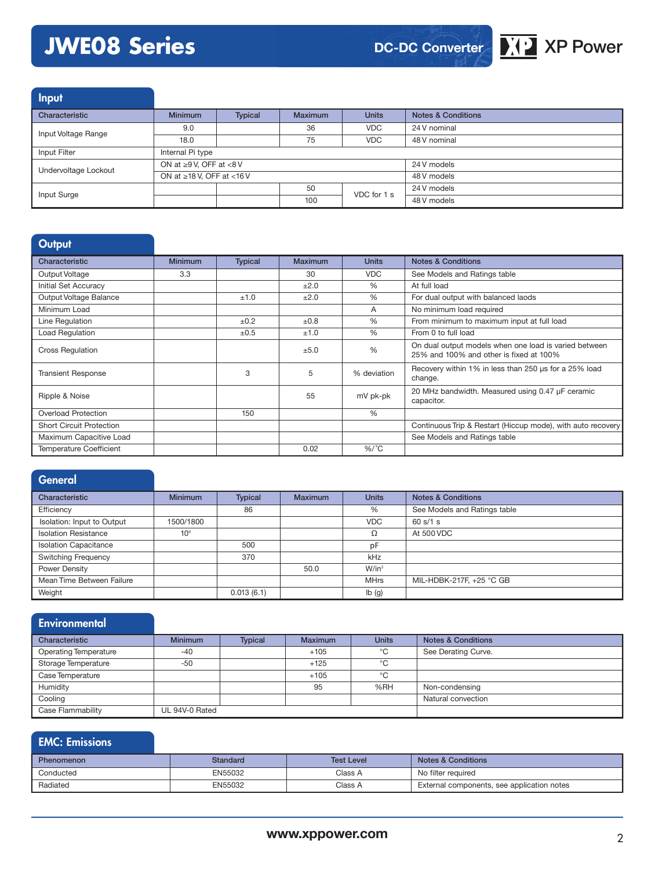# **JWE08 Series XP Power**



Input

| Characteristic       | <b>Minimum</b>                  | <b>Typical</b> | <b>Maximum</b> | <b>Units</b> | Notes & Conditions |
|----------------------|---------------------------------|----------------|----------------|--------------|--------------------|
| Input Voltage Range  | 9.0                             |                | 36             | <b>VDC</b>   | 24 V nominal       |
|                      | 18.0                            |                | 75             | <b>VDC</b>   | 48 V nominal       |
| Input Filter         | Internal Pi type                |                |                |              |                    |
| Undervoltage Lockout | ON at $\geq 9$ V. OFF at <8 V   |                |                | 24 V models  |                    |
|                      | ON at $\geq$ 18 V. OFF at <16 V |                |                | 48 V models  |                    |
| Input Surge          |                                 |                | 50             | VDC for 1 s  | 24 V models        |
|                      |                                 |                | 100            |              | 48 V models        |

#### **Output**

| Characteristic                  | <b>Minimum</b> | <b>Typical</b> | <b>Maximum</b> | <b>Units</b> | <b>Notes &amp; Conditions</b>                                                                    |
|---------------------------------|----------------|----------------|----------------|--------------|--------------------------------------------------------------------------------------------------|
| Output Voltage                  | 3.3            |                | 30             | <b>VDC</b>   | See Models and Ratings table                                                                     |
| Initial Set Accuracy            |                |                | ±2.0           | $\%$         | At full load                                                                                     |
| Output Voltage Balance          |                | ±1.0           | ±2.0           | $\%$         | For dual output with balanced laods                                                              |
| Minimum Load                    |                |                |                | A            | No minimum load required                                                                         |
| Line Regulation                 |                | ±0.2           | $\pm 0.8$      | $\%$         | From minimum to maximum input at full load                                                       |
| Load Regulation                 |                | ±0.5           | ±1.0           | $\%$         | From 0 to full load                                                                              |
| <b>Cross Regulation</b>         |                |                | ±5.0           | %            | On dual output models when one load is varied between<br>25% and 100% and other is fixed at 100% |
| <b>Transient Response</b>       |                | 3              | 5              | % deviation  | Recovery within 1% in less than 250 us for a 25% load<br>change.                                 |
| Ripple & Noise                  |                |                | 55             | mV pk-pk     | 20 MHz bandwidth. Measured using 0.47 µF ceramic<br>capacitor.                                   |
| <b>Overload Protection</b>      |                | 150            |                | %            |                                                                                                  |
| <b>Short Circuit Protection</b> |                |                |                |              | Continuous Trip & Restart (Hiccup mode), with auto recovery                                      |
| Maximum Capacitive Load         |                |                |                |              | See Models and Ratings table                                                                     |
| <b>Temperature Coefficient</b>  |                |                | 0.02           | $\%$ /°C     |                                                                                                  |

#### **General**

| Characteristic               | <b>Minimum</b>  | <b>Typical</b> | <b>Maximum</b> | <b>Units</b> | <b>Notes &amp; Conditions</b> |
|------------------------------|-----------------|----------------|----------------|--------------|-------------------------------|
| Efficiency                   |                 | 86             |                | %            | See Models and Ratings table  |
| Isolation: Input to Output   | 1500/1800       |                |                | <b>VDC</b>   | 60 s/1 s                      |
| <b>Isolation Resistance</b>  | 10 <sup>9</sup> |                |                | Ω            | At 500 VDC                    |
| <b>Isolation Capacitance</b> |                 | 500            |                | pF           |                               |
| <b>Switching Frequency</b>   |                 | 370            |                | kHz          |                               |
| Power Density                |                 |                | 50.0           | $W/in^3$     |                               |
| Mean Time Between Failure    |                 |                |                | <b>MHrs</b>  | MIL-HDBK-217F, +25 °C GB      |
| Weight                       |                 | 0.013(6.1)     |                | Ib(g)        |                               |

#### **Environmental** Characteristic **Minimum Typical Maximum Units Notes & Conditions** Operating Temperature 1990 -40 -40 +105 +105 -60 See Derating Curve. Storage Temperature -50 -50 +125 +125 °C Case Temperature +105 <sup>°C</sup> Humidity **195 % 1968** Non-condensing Cooling **Natural convection Natural convection Natural convection** Case Flammability UL 94V-0 Rated

## EMC: Emissions Phenomenon **Standard** Standard Test Level Notes & Conditions Conducted EN55032 Class A No filter required Radiated EN55032 Class A External components, see application notes